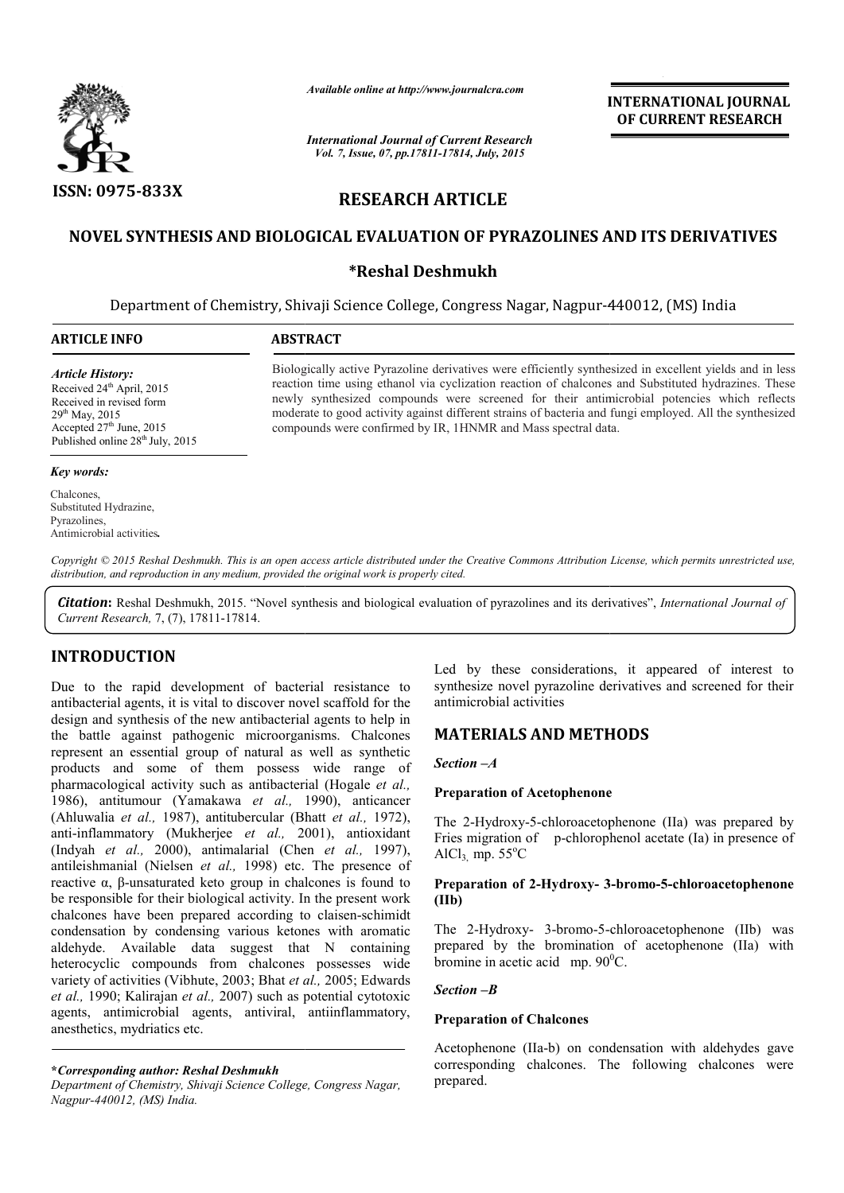

*Available online at http://www.journalcra.com*

# **RESEARCH ARTICLE**

## **NOVEL SYNTHESIS AND BIOLO BIOLOGICAL EVALUATION OF PYRAZOLINES AND ITS DERIVATIVES**

## **\*Reshal Deshmukh**

|                                                                                                                                                                                                                                                      | лтините опине игнир.//www.journuicru.com<br><b>International Journal of Current Research</b><br>Vol. 7, Issue, 07, pp.17811-17814, July, 2015 | <b>INTERNATIONAL JOURNAL</b><br>OF CURRENT RESEARCH                                                                                                                                                                                                                                                                                                                                                                                                                                      |
|------------------------------------------------------------------------------------------------------------------------------------------------------------------------------------------------------------------------------------------------------|-----------------------------------------------------------------------------------------------------------------------------------------------|------------------------------------------------------------------------------------------------------------------------------------------------------------------------------------------------------------------------------------------------------------------------------------------------------------------------------------------------------------------------------------------------------------------------------------------------------------------------------------------|
| <b>ISSN: 0975-833X</b>                                                                                                                                                                                                                               |                                                                                                                                               | <b>RESEARCH ARTICLE</b>                                                                                                                                                                                                                                                                                                                                                                                                                                                                  |
|                                                                                                                                                                                                                                                      |                                                                                                                                               | NOVEL SYNTHESIS AND BIOLOGICAL EVALUATION OF PYRAZOLINES AND ITS DERIVATIVES                                                                                                                                                                                                                                                                                                                                                                                                             |
|                                                                                                                                                                                                                                                      |                                                                                                                                               | <b>*Reshal Deshmukh</b>                                                                                                                                                                                                                                                                                                                                                                                                                                                                  |
|                                                                                                                                                                                                                                                      |                                                                                                                                               | Department of Chemistry, Shivaji Science College, Congress Nagar, Nagpur-440012, (MS) India                                                                                                                                                                                                                                                                                                                                                                                              |
| <b>ARTICLE INFO</b>                                                                                                                                                                                                                                  | <b>ABSTRACT</b>                                                                                                                               |                                                                                                                                                                                                                                                                                                                                                                                                                                                                                          |
| <b>Article History:</b><br>Received 24 <sup>th</sup> April, 2015<br>Received in revised form<br>29 <sup>th</sup> May, 2015<br>Accepted 27th June, 2015<br>Published online 28 <sup>th</sup> July, 2015                                               |                                                                                                                                               | Biologically active Pyrazoline derivatives were efficiently synthesized in excellent yields and in less<br>reaction time using ethanol via cyclization reaction of chalcones and Substituted hydrazines. These<br>newly synthesized compounds were screened for their antimicrobial potencies which reflects<br>moderate to good activity against different strains of bacteria and fungi employed. All the synthesized<br>compounds were confirmed by IR, 1HNMR and Mass spectral data. |
| <b>Key words:</b>                                                                                                                                                                                                                                    |                                                                                                                                               |                                                                                                                                                                                                                                                                                                                                                                                                                                                                                          |
| Chalcones.<br>Substituted Hydrazine,<br>Pyrazolines,<br>Antimicrobial activities.                                                                                                                                                                    |                                                                                                                                               |                                                                                                                                                                                                                                                                                                                                                                                                                                                                                          |
|                                                                                                                                                                                                                                                      | distribution, and reproduction in any medium, provided the original work is properly cited.                                                   | Copyright © 2015 Reshal Deshmukh. This is an open access article distributed under the Creative Commons Attribution License, which permits unrestricted use,                                                                                                                                                                                                                                                                                                                             |
| Current Research, 7, (7), 17811-17814.                                                                                                                                                                                                               |                                                                                                                                               | <b>Citation:</b> Reshal Deshmukh, 2015. "Novel synthesis and biological evaluation of pyrazolines and its derivatives", International Journal of                                                                                                                                                                                                                                                                                                                                         |
| <b>INTRODUCTION</b><br>Due to the rapid development of bacterial resistance to<br>antibacterial agents, it is vital to discover novel scaffold for the                                                                                               |                                                                                                                                               | Led by these considerations, it appeared of interest to<br>synthesize novel pyrazoline derivatives and screened for their<br>antimicrobial activities                                                                                                                                                                                                                                                                                                                                    |
| design and synthesis of the new antibacterial agents to help in<br>the battle against pathogenic microorganisms. Chalcones                                                                                                                           |                                                                                                                                               | <b>MATERIALS AND METHODS</b>                                                                                                                                                                                                                                                                                                                                                                                                                                                             |
| represent an essential group of natural as well as synthetic<br>products and some of them possess wide range of                                                                                                                                      |                                                                                                                                               | Section $-A$                                                                                                                                                                                                                                                                                                                                                                                                                                                                             |
| pharmacological activity such as antibacterial (Hogale et al.,<br>1986), antitumour (Yamakawa et al., 1990), anticancer                                                                                                                              |                                                                                                                                               | <b>Preparation of Acetophenone</b>                                                                                                                                                                                                                                                                                                                                                                                                                                                       |
| (Ahluwalia et al., 1987), antitubercular (Bhatt et al., 1972),<br>anti-inflammatory (Mukherjee et al., 2001), antioxidant<br>(Indyah et al., 2000), antimalarial (Chen et al., 1997),<br>antileishmanial (Nielsen et al., 1998) etc. The presence of |                                                                                                                                               | The 2-Hydroxy-5-chloroacetophenone (IIa) was prepared by<br>Fries migration of p-chlorophenol acetate (Ia) in presence of<br>AlCl <sub>3</sub> mp. $55^{\circ}$ C                                                                                                                                                                                                                                                                                                                        |
| reactive $\alpha$ , $\beta$ -unsaturated keto group in chalcones is found to<br>be responsible for their biological activity. In the present work                                                                                                    |                                                                                                                                               | Preparation of 2-Hydroxy- 3-bromo-5-chloroacetophenone<br>(IIb)                                                                                                                                                                                                                                                                                                                                                                                                                          |
| chalcones have been prepared according to claisen-schimidt<br>condensation by condensing various ketones with aromatic<br>aldehyde. Available data suggest that N containing<br>heterocyclic compounds from chalcones possesses wide                 |                                                                                                                                               | The 2-Hydroxy- 3-bromo-5-chloroacetophenone (IIb) was<br>prepared by the bromination of acetophenone (IIa) with<br>bromine in acetic acid mp. $90^{\circ}$ C.                                                                                                                                                                                                                                                                                                                            |
| variety of activities (Vibhute, 2003; Bhat et al., 2005; Edwards<br>et al., 1990; Kalirajan et al., 2007) such as potential cytotoxic                                                                                                                |                                                                                                                                               | $Section - B$                                                                                                                                                                                                                                                                                                                                                                                                                                                                            |
| agents, antimicrobial agents, antiviral, antiinflammatory,<br>anesthetics, mydriatics etc.                                                                                                                                                           |                                                                                                                                               | <b>Preparation of Chalcones</b>                                                                                                                                                                                                                                                                                                                                                                                                                                                          |
| *Corresponding author: Reshal Deshmukh                                                                                                                                                                                                               |                                                                                                                                               | Acetophenone (IIa-b) on condensation with aldehydes gave<br>corresponding chalcones. The following chalcones were                                                                                                                                                                                                                                                                                                                                                                        |

#### *Key words:*

### **INTRODUCTION**

**\****Corresponding author: Reshal Deshmukh*

*Department of Chemistry, Shivaji Science College, Congress Nagar, Nagpur-440012, (MS) India.*

## **MATERIALS AND METHOD METHODS**

#### **Preparation of Acetophenone of**

#### **Preparation of 2-Hydroxy- 3 3-bromo-5-chloroacetophenone (IIb)**

#### *Section –B*

### **Preparation of Chalcones**

Acetophenone (IIa-b) on condensation with aldehydes gave corresponding chalcones. The following chalcones were prepared.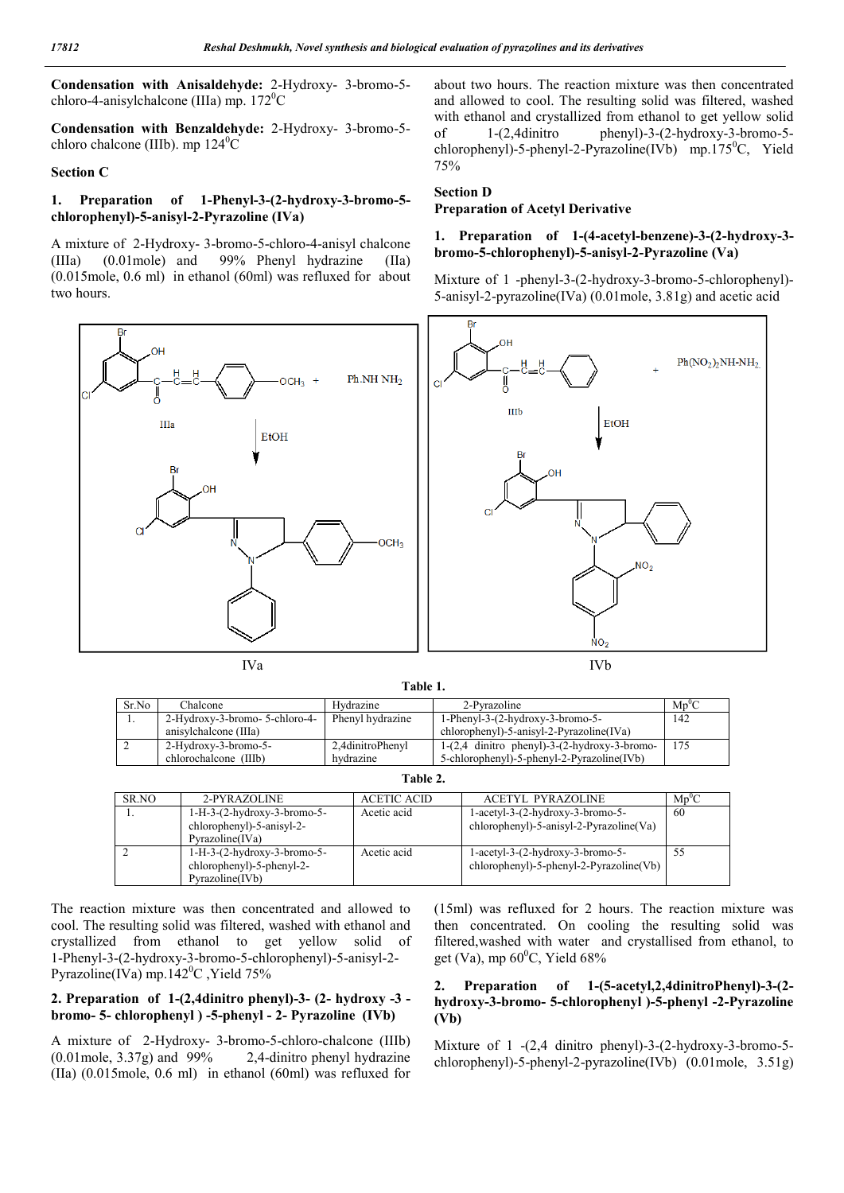**Condensation with Anisaldehyde:** 2-Hydroxy- 3-bromo-5 chloro-4-anisylchalcone (IIIa) mp.  $172^{\circ}$ C

**Condensation with Benzaldehyde:** 2-Hydroxy- 3-bromo-5 chloro chalcone (IIIb). mp  $124^{\circ}$ C

#### **Section C**

### **1. Preparation of 1-Phenyl-3-(2-hydroxy-3-bromo-5 chlorophenyl)-5-anisyl-2-Pyrazoline (IVa)**

A mixture of 2-Hydroxy- 3-bromo-5-chloro-4-anisyl chalcone (IIIa) (0.01mole) and 99% Phenyl hydrazine (IIa) (0.015mole, 0.6 ml) in ethanol (60ml) was refluxed for about two hours.

about two hours. The reaction mixture was then concentrated and allowed to cool. The resulting solid was filtered, washed with ethanol and crystallized from ethanol to get yellow solid of 1-(2,4dinitro phenyl)-3-(2-hydroxy-3-bromo-5 chlorophenyl)-5-phenyl-2-Pyrazoline(IVb) mp.175<sup>0</sup>C, Yield 75%

### **Section D**

### **Preparation of Acetyl Derivative**

#### **1. Preparation of 1-(4-acetyl-benzene)-3-(2-hydroxy-3 bromo-5-chlorophenyl)-5-anisyl-2-Pyrazoline (Va)**

Mixture of 1 -phenyl-3-(2-hydroxy-3-bromo-5-chlorophenyl)- 5-anisyl-2-pyrazoline(IVa) (0.01mole, 3.81g) and acetic acid



**Table 1.**

| Sr.No | Chalcone                       | Hydrazine        | 2-Pyrazoline                                            | $Mp^0C$ |
|-------|--------------------------------|------------------|---------------------------------------------------------|---------|
|       | 2-Hydroxy-3-bromo- 5-chloro-4- | Phenyl hydrazine | $1$ -Phenyl-3- $(2$ -hydroxy-3-bromo-5-                 | 142     |
|       | anisylchalcone (IIIa)          |                  | $chlorophenyl$ -5-anisyl-2-Pyrazoline $(IVa)$           |         |
|       | 2-Hydroxy-3-bromo-5-           | 2.4dinitroPhenyl | $1-(2,4)$ dinitro phenyl $)-3-(2-hydr$ oxy $-3-b$ romo- | 175     |
|       | chlorochalcone (IIIb)          | hydrazine        | 5-chlorophenyl)-5-phenyl-2-Pyrazoline(IVb)              |         |

| SR.NO | 2-PYRAZOLINE                                                                  | <b>ACETIC ACID</b> | <b>ACETYL PYRAZOLINE</b>                                                            | $Mp^0C$ |
|-------|-------------------------------------------------------------------------------|--------------------|-------------------------------------------------------------------------------------|---------|
|       | $1-H-3-(2-hydroxy-3-bromo-5-$<br>chlorophenyl)-5-anisyl-2-<br>Pvrazoline(IVa) | Acetic acid        | $1$ -acetyl-3- $(2-hydroxy-3-bromo-5-$<br>chlorophenyl)-5-anisyl-2-Pyrazoline(Va)   | 60      |
|       | $1-H-3-(2-hydroxy-3-bromo-5-$<br>chlorophenyl)-5-phenyl-2-<br>Pyrazoline(IVb) | Acetic acid        | $1$ -acetyl-3- $(2-hydroxy-3-bromo-5-$<br>$chloropheny$ ]-5-phenyl-2-Pyrazoline(Vb) | 55      |

The reaction mixture was then concentrated and allowed to cool. The resulting solid was filtered, washed with ethanol and crystallized from ethanol to get yellow solid of 1-Phenyl-3-(2-hydroxy-3-bromo-5-chlorophenyl)-5-anisyl-2- Pyrazoline(IVa) mp.142<sup>°</sup>C, Yield 75%

### **2. Preparation of 1-(2,4dinitro phenyl)-3- (2- hydroxy -3 bromo- 5- chlorophenyl ) -5-phenyl - 2- Pyrazoline (IVb)**

A mixture of 2-Hydroxy- 3-bromo-5-chloro-chalcone (IIIb) (0.01mole, 3.37g) and 99% 2,4-dinitro phenyl hydrazine (IIa) (0.015mole, 0.6 ml) in ethanol (60ml) was refluxed for (15ml) was refluxed for 2 hours. The reaction mixture was then concentrated. On cooling the resulting solid was filtered,washed with water and crystallised from ethanol, to get (Va), mp  $60^{\circ}$ C, Yield  $68\%$ 

### **2. Preparation of 1-(5-acetyl,2,4dinitroPhenyl)-3-(2 hydroxy-3-bromo- 5-chlorophenyl )-5-phenyl -2-Pyrazoline (Vb)**

Mixture of 1 -(2,4 dinitro phenyl)-3-(2-hydroxy-3-bromo-5 chlorophenyl)-5-phenyl-2-pyrazoline(IVb) (0.01mole, 3.51g)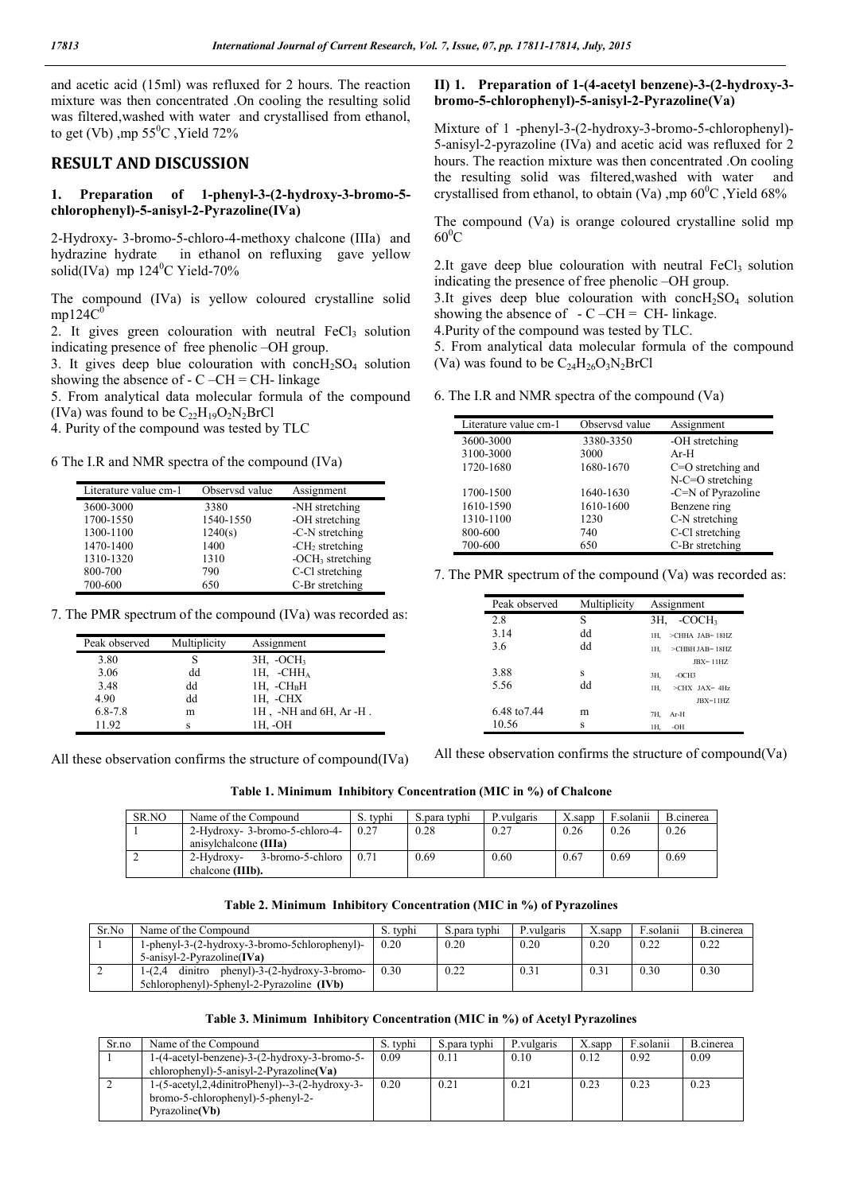and acetic acid (15ml) was refluxed for 2 hours. The reaction mixture was then concentrated .On cooling the resulting solid was filtered,washed with water and crystallised from ethanol, to get (Vb) ,mp  $55^{\circ}$ C , Yield 72%

## **RESULT AND DISCUSSION**

#### **1. Preparation of 1-phenyl-3-(2-hydroxy-3-bromo-5 chlorophenyl)-5-anisyl-2-Pyrazoline(IVa)**

2-Hydroxy- 3-bromo-5-chloro-4-methoxy chalcone (IIIa) and hydrazine hydrate in ethanol on refluxing gave yellow solid(IVa) mp  $124^{\circ}$ C Yield-70%

The compound (IVa) is yellow coloured crystalline solid  $mp124C<sup>0</sup>$ 

2. It gives green colouration with neutral  $FeCl<sub>3</sub>$  solution indicating presence of free phenolic –OH group.

3. It gives deep blue colouration with conc $H_2SO_4$  solution showing the absence of  $-C-CH = CH$ - linkage

5. From analytical data molecular formula of the compound (IVa) was found to be  $C_{22}H_{19}O_2N_2BrCl$ 

4. Purity of the compound was tested by TLC

6 The I.R and NMR spectra of the compound (IVa)

| Literature value cm-1 | Observsd value | Assignment         |
|-----------------------|----------------|--------------------|
| 3600-3000             | 3380           | -NH stretching     |
| 1700-1550             | 1540-1550      | -OH stretching     |
| 1300-1100             | 1240(s)        | -C-N stretching    |
| 1470-1400             | 1400           | $-CH2$ stretching  |
| 1310-1320             | 1310           | $-OCH3$ stretching |
| 800-700               | 790            | C-Cl stretching    |
| 700-600               | 650            | C-Br stretching    |

7. The PMR spectrum of the compound (IVa) was recorded as:

| Peak observed | Multiplicity | Assignment                        |
|---------------|--------------|-----------------------------------|
| 3.80          |              | $3H$ , $-OCH3$                    |
| 3.06          | dd           | $1H.$ -CHH <sub>A</sub>           |
| 3.48          | dd           | $1H. -CHBH$                       |
| 4.90          | dd           | 1H, -CHX                          |
| $6.8 - 7.8$   | m            | $1H$ , $-NH$ and $6H$ , Ar $-H$ . |
| 11.92         | S            | 1H. -OH                           |

All these observation confirms the structure of compound(IVa)

## **II) 1. Preparation of 1-(4-acetyl benzene)-3-(2-hydroxy-3 bromo-5-chlorophenyl)-5-anisyl-2-Pyrazoline(Va)**

Mixture of 1 -phenyl-3-(2-hydroxy-3-bromo-5-chlorophenyl)- 5-anisyl-2-pyrazoline (IVa) and acetic acid was refluxed for 2 hours. The reaction mixture was then concentrated .On cooling the resulting solid was filtered,washed with water and crystallised from ethanol, to obtain (Va), mp  $60^{\circ}$ C, Yield  $68\%$ 

The compound (Va) is orange coloured crystalline solid mp  $60^0C$ 

2.It gave deep blue colouration with neutral  $FeCl<sub>3</sub>$  solution indicating the presence of free phenolic –OH group.

3.It gives deep blue colouration with conc $H_2SO_4$  solution showing the absence of  $-C-CH = CH$ - linkage.

4.Purity of the compound was tested by TLC.

5. From analytical data molecular formula of the compound (Va) was found to be  $C_{24}H_{26}O_3N_2BrCl$ 

6. The I.R and NMR spectra of the compound (Va)

| Literature value cm-1 | Observsd value | Assignment           |
|-----------------------|----------------|----------------------|
| 3600-3000             | 3380-3350      | -OH stretching       |
| 3100-3000             | 3000           | $Ar-H$               |
| 1720-1680             | 1680-1670      | $C=O$ stretching and |
|                       |                | $N-C=O$ stretching   |
| 1700-1500             | 1640-1630      | -C=N of Pyrazoline   |
| 1610-1590             | 1610-1600      | Benzene ring         |
| 1310-1100             | 1230           | C-N stretching       |
| 800-600               | 740            | C-Cl stretching      |
| 700-600               | 650            | C-Br stretching      |

7. The PMR spectrum of the compound (Va) was recorded as:

| Peak observed | Multiplicity | Assignment                   |
|---------------|--------------|------------------------------|
| 2.8           | S            | $-COCH3$<br>3H.              |
| 3.14          | dd           | $>$ CHHA JAB= $18$ HZ<br>1H. |
| 3.6           | dd           | $>$ CHBH JAB= $18$ HZ<br>1H. |
|               |              | $JBX = 11HZ$                 |
| 3.88          | S            | $-OCH3$<br>3H,               |
| 5.56          | dd           | 1H.<br>$>CHX$ JAX= 4Hz       |
|               |              | $JBX = 11HZ$                 |
| 6.48 to 7.44  | m            | 7H.<br>$Ar-H$                |
| 10.56         | s            | -OH<br>1H.                   |

All these observation confirms the structure of compound(Va)

**Table 1. Minimum Inhibitory Concentration (MIC in %) of Chalcone**

| SR.NO | Name of the Compound           | S. typhi | S.para typhi | P.vulgaris | $X$ .sapp | F.solanii | B.cinerea |
|-------|--------------------------------|----------|--------------|------------|-----------|-----------|-----------|
|       | 2-Hydroxy- 3-bromo-5-chloro-4- | 0.27     | 0.28         | 0.27       | 0.26      | 0.26      | 0.26      |
|       | anisylchalcone (IIIa)          |          |              |            |           |           |           |
|       | 3-bromo-5-chloro<br>2-Hydroxy- | 0.71     | 0.69         | 0.60       | 0.67      | 0.69      | 0.69      |
|       | chalcone (IIIb).               |          |              |            |           |           |           |

#### **Table 2. Minimum Inhibitory Concentration (MIC in %) of Pyrazolines**

| Sr.No | Name of the Compound                                  | S. tvphi | S. para typhi | P.vulgaris | $X$ sapr | F.solanii | B.cinerea |
|-------|-------------------------------------------------------|----------|---------------|------------|----------|-----------|-----------|
|       | 1-phenyl-3-(2-hydroxy-3-bromo-5chlorophenyl)-         | 0.20     | 0.20          | 0.20       | 0.20     | 0.22      | 0.22      |
|       | $5$ -anisyl-2-Pyrazoline $(IVa)$                      |          |               |            |          |           |           |
|       | phenyl)-3-(2-hydroxy-3-bromo-<br>dinitro<br>$1-(2.4)$ | 0.30     | 0.22          | 0.31       |          | 0.30      | 0.30      |
|       | 5chlorophenyl)-5phenyl-2-Pyrazoline (IVb)             |          |               |            |          |           |           |

#### **Table 3. Minimum Inhibitory Concentration (MIC in %) of Acetyl Pyrazolines**

| Sr.no | Name of the Compound                                                                                                       | S. tvphi | S.para typhi | P.vulgaris | X.sapp | ∛.solanii | B.cinerea |
|-------|----------------------------------------------------------------------------------------------------------------------------|----------|--------------|------------|--------|-----------|-----------|
|       | $1-(4 \text{-} acetyl\text{-}benzene) - 3-(2 \text{-} hydroxy-3-bromo-5-$                                                  | 0.09     | 0.11         | 0.10       | 0.12   | 0.92      | 0.09      |
|       | chlorophenyl)-5-anisyl-2-Pyrazoline (Va)                                                                                   |          |              |            |        |           |           |
|       | $1-(5\text{-actyl},2,4\text{dinitroPhenyl})-3-(2\text{-hydroxy}-3-$<br>bromo-5-chlorophenyl)-5-phenyl-2-<br>Pvrazoline(Vb) | 0.20     | 0.21         | 0.21       | 0.23   | 0.23      | 0.23      |